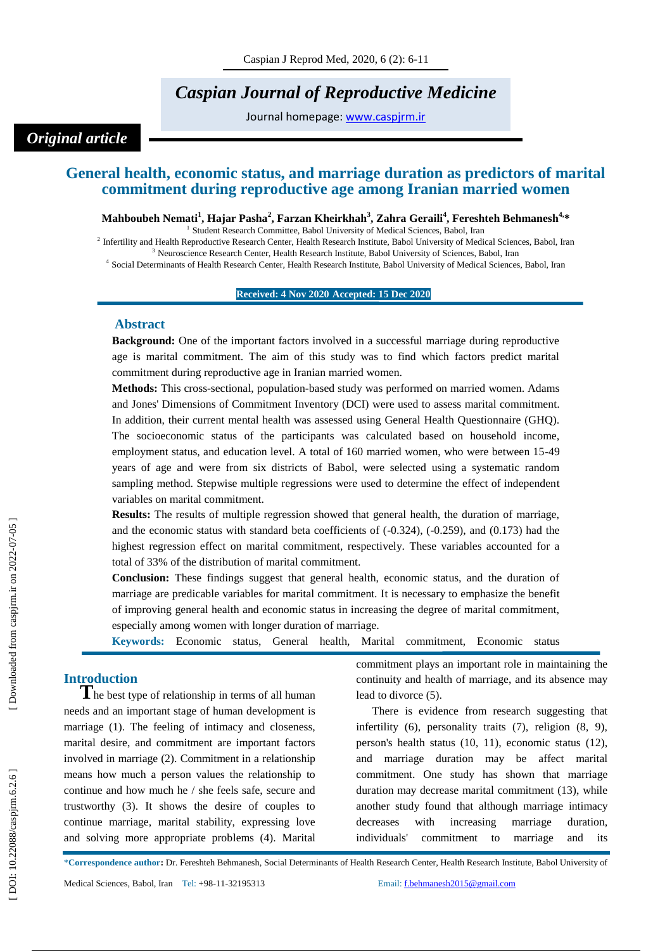# *Caspian Journal of Reproductive Medicine*

Journal homepage: [www.caspjrm.ir](http://www.caspjrm.ir/)

## *Original article*

## **General health, economic status, and marriage duration as predictors of marital commitment during reproductive age among Iranian married women**

 $\bf{M}$ ahboubeh Nemati $^1$ , Hajar Pasha $^2$ , Farzan Kheirkhah $^3$ , Zahra Geraili $^4$ , Fereshteh Behmanesh $^{4,\ast}$ 

<sup>1</sup> Student Research Committee, Babol University of Medical Sciences, Babol, Iran

<sup>2</sup> Infertility and Health Reproductive Research Center, Health Research Institute, Babol University of Medical Sciences, Babol, Iran <sup>3</sup> Neuroscience Research Center, Health Research Institute, Babol University of Sciences, Babol, Iran

4 Social Determinants of Health Research Center, Health Research Institute, Babol University of Medical Sciences, Babol, Iran

#### **Received: 4 Nov 2020 Accepted: 15 Dec 2020**

**1**

#### **A bstract**

**Background:** One of the important factors involved in a successful marriage during reproductive age is marital commitment. The aim of this study was to find which factors predict marital commitment during reproductive age in Iranian married women.

**Methods:** This cross -sectional, population -based study was performed on married women. Adams and Jones' Dimensions of Commitment Inventory (DCI) were used to assess marital commitment. In addition, their current mental health was assessed using General Health Questionnaire (GHQ). The socioeconomic status of the participants was calculated based on household income, employment status, and education level. A total of 160 married women, who were between 15 -49 years of age and were from six districts of Babol, were selected using a systematic random sampling method. Stepwise multiple regressions were used to determine the effect of independent variables on marital commitment.

**Results:** The results of multiple regression showed that general health, the duration of marriage, and the economic status with standard beta coefficients of ( -0.324), ( -0.259), and (0.173) had the highest regression effect on marital commitment, respectively. These variables accounted for a total of 33% of the distribution of marital commitment.

**Conclusion:** These findings suggest that general health, economic status, and the duration of marriage are predicable variables for marital commitment. It is necessary to emphasize the benefit of improving general health and economic status in increasing the degree of marital commitment, especially among women with longer duration of marriage.

Keywords: Economic status, General health, Marital commitment, Economic status

**Introduction**<br> **T**he best type of relationship in terms of all human needs and an important stage of human development is marriage (1). The feeling of intimacy and closeness, marital desire, and commitment are important factors involved in marriage (2). Commitment in a relationship means how much a person values the relationship to continue and how much he / she feels safe, secure and trustworthy (3). It shows the desire of couples to continue marriage, marital stability, expressing love and solving more appropriate problems (4). Marital commitment plays an important role in maintaining the continuity and health of marriage, and its absence may lead to divorce (5).

There is evidence from research suggesting that infertility (6), personality traits (7), religion (8, 9), person's health status (10, 11), economic status (12), and marriage duration may be affect marital commitment. One study has shown that marriage duration may decrease marital commitment (13), while another study found that although marriage intimacy decreases with increasing marriage duration, individuals' commitment to marriage and its

\***Correspondence author :** Dr. Fereshteh Behmanesh, Social Determinants of Health Research Center, Health Research Institute, Babol University of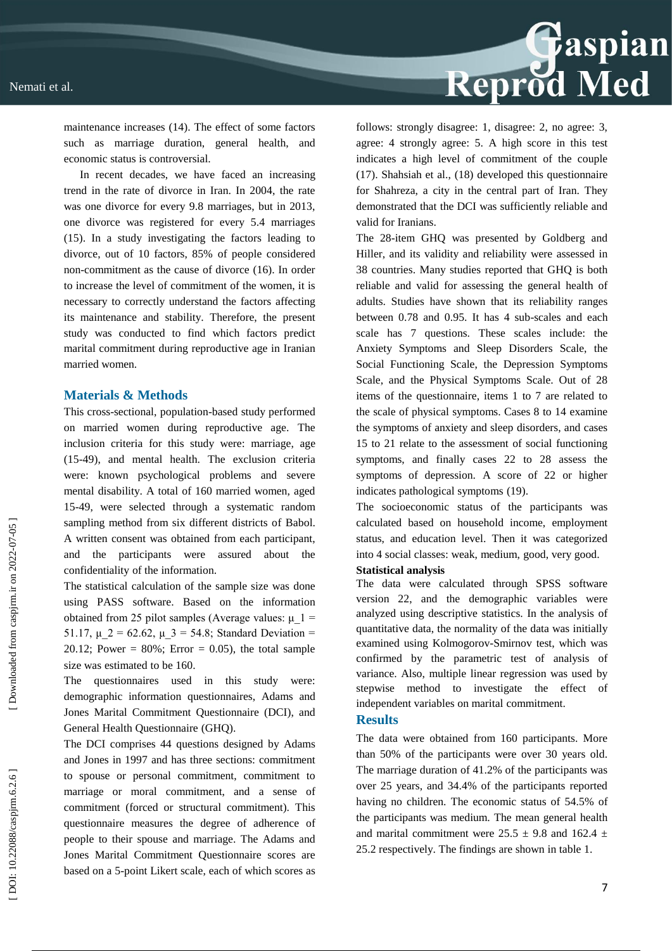

maintenance increases (14). The effect of some factors such as marriage duration, general health, and economic status is controversial.

In recent decades, we have faced an increasing trend in the rate of divorce in Iran. In 2004, the rate was one divorce for every 9.8 marriages, but in 2013, one divorce was registered for every 5.4 marriages (15). In a study investigating the factors leading to divorce, out of 10 factors, 85% of people considered non -commitment as the cause of divorce (16). In order to increase the level of commitment of the women, it is necessary to correctly understand the factors affecting its maintenance and stability. Therefore, the present study was conducted to find which factors predict marital commitment during reproductive age in Iranian married women.

#### **Materials & Methods**

This cross -sectional, population -based study performed on married women during reproductive age. The inclusion criteria for this study were: marriage, age (15 -49), and mental health. The exclusion criteria were: known psychological problems and severe mental disability. A total of 160 married women, aged 15 -49, were selected through a systematic random sampling method from six different districts of Babol. A written consent was obtained from each participant, and the participants were assured about the confidentiality of the information.

The statistical calculation of the sample size was done using PASS software. Based on the information obtained from 25 pilot samples (Average values:  $\mu$  1 = 51.17,  $\mu$  2 = 62.62,  $\mu$  3 = 54.8; Standard Deviation = 20.12; Power =  $80\%$ ; Error = 0.05), the total sample size was estimated to be 160.

The questionnaires used in this study were: demographic information questionnaires, Adams and Jones Marital Commitment Questionnaire (DCI), and General Health Questionnaire (GHQ).

The DCI comprises 44 questions designed by Adams and Jones in 1997 and has three sections: commitment to spouse or personal commitment, commitment to marriage or moral commitment, and a sense of commitment (forced or structural commitment). This questionnaire measures the degree of adherence of people to their spouse and marriage. The Adams and Jones Marital Commitment Questionnaire scores are based on a 5 -point Likert scale, each of which scores as follows: strongly disagree: 1, disagree: 2, no agree: 3, agree: 4 strongly agree: 5. A high score in this test indicates a high level of commitment of the couple (17). Shahsiah et al., (18) developed this questionnaire for Shahreza, a city in the central part of Iran. They demonstrated that the DCI was sufficiently reliable and valid for Iranians.

The 28 -item GHQ was presented by Goldberg and Hiller, and its validity and reliability were assessed in 38 countries. Many studies reported that GHQ is both reliable and valid for assessing the general health of adults. Studies have shown that its reliability ranges between 0.78 and 0.95. It has 4 sub -scales and each scale has 7 questions. These scales include: the Anxiety Symptoms and Sleep Disorders Scale, the Social Functioning Scale, the Depression Symptoms Scale, and the Physical Symptoms Scale. Out of 28 items of the questionnaire, items 1 to 7 are related to the scale of physical symptoms. Cases 8 to 14 examine the symptoms of anxiety and sleep disorders, and cases 15 to 21 relate to the assessment of social functioning symptoms, and finally cases 22 to 28 assess the symptoms of depression. A score of 22 or higher indicates pathological symptoms (19).

The socioeconomic status of the participants was calculated based on household income, employment status, and education level. Then it was categorized into 4 social classes: weak, medium, good, very good.

#### **Statistical analysis**

The data were calculated through SPSS software version 22, and the demographic variables were analyzed using descriptive statistics. In the analysis of quantitative data, the normality of the data was initially examined using Kolmogorov -Smirnov test, which was confirmed by the parametric test of analysis of variance. Also, multiple linear regression was used by stepwise method to investigate the effect of independent variables on marital commitment.

#### **Results**

The data were obtained from 160 participants. More than 50% of the participants were over 30 years old. The marriage duration of 41.2% of the participants was over 25 years, and 34.4% of the participants reported having no children. The economic status of 54.5% of the participants was medium. The mean general health and marital commitment were  $25.5 \pm 9.8$  and  $162.4 \pm 1$ 25.2 respectively. The findings are shown in table 1.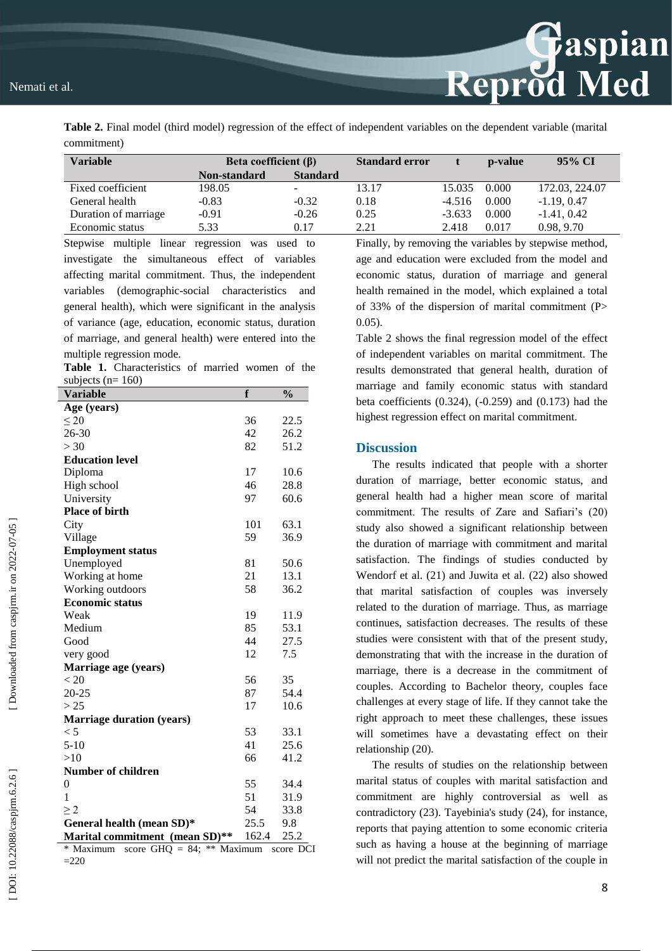#### Nemati et al.

**Table 2.** Final model (third model) regression of the effect of independent variables on the dependent variable (marital commitment)

| Variable             | Beta coefficient $(\beta)$ |                 | <b>Standard error</b> |          | p-value | 95% CI         |
|----------------------|----------------------------|-----------------|-----------------------|----------|---------|----------------|
|                      | Non-standard               | <b>Standard</b> |                       |          |         |                |
| Fixed coefficient    | 198.05                     |                 | 13.17                 | 15.035   | 0.000   | 172.03, 224.07 |
| General health       | $-0.83$                    | $-0.32$         | 0.18                  | $-4.516$ | 0.000   | $-1.19, 0.47$  |
| Duration of marriage | $-0.91$                    | $-0.26$         | 0.25                  | $-3.633$ | 0.000   | $-1.41, 0.42$  |
| Economic status      | 5.33                       | 0.17            | 2.21                  | 2.418    | 0.017   | 0.98, 9.70     |

Stepwise multiple linear regression was used to investigate the simultaneous effect of variables affecting marital commitment. Thus, the independent variables (demographic -social characteristics and general health), which were significant in the analysis of variance (age, education, economic status, duration of marriage, and general health) were entered into the multiple regression mode.

**Table 1.** Characteristics of married women of the subjects  $(n= 160)$ 

| <b>Variable</b>                  | f     | $\frac{0}{0}$ |  |  |  |
|----------------------------------|-------|---------------|--|--|--|
| Age (years)                      |       |               |  |  |  |
| $\leq 20$                        | 36    | 22.5          |  |  |  |
| 26-30                            | 42    | 26.2          |  |  |  |
| >30                              | 82    | 51.2          |  |  |  |
| <b>Education level</b>           |       |               |  |  |  |
| Diploma                          | 17    | 10.6          |  |  |  |
| High school                      | 46    | 28.8          |  |  |  |
| University                       | 97    | 60.6          |  |  |  |
| <b>Place of birth</b>            |       |               |  |  |  |
| City                             | 101   | 63.1          |  |  |  |
| Village                          | 59    | 36.9          |  |  |  |
| <b>Employment status</b>         |       |               |  |  |  |
| Unemployed                       | 81    | 50.6          |  |  |  |
| Working at home                  | 21    | 13.1          |  |  |  |
| Working outdoors                 | 58    | 36.2          |  |  |  |
| <b>Economic status</b>           |       |               |  |  |  |
| Weak                             | 19    | 11.9          |  |  |  |
| Medium                           | 85    | 53.1          |  |  |  |
| Good                             | 44    | 27.5          |  |  |  |
| very good                        | 12    | 7.5           |  |  |  |
| Marriage age (years)             |       |               |  |  |  |
| < 20                             | 56    | 35            |  |  |  |
| $20 - 25$                        | 87    | 54.4          |  |  |  |
| > 25                             | 17    | 10.6          |  |  |  |
| <b>Marriage duration (years)</b> |       |               |  |  |  |
| < 5                              | 53    | 33.1          |  |  |  |
| $5 - 10$                         | 41    | 25.6          |  |  |  |
| >10                              | 66    | 41.2          |  |  |  |
| <b>Number of children</b>        |       |               |  |  |  |
| 0                                | 55    | 34.4          |  |  |  |
| 1                                | 51    | 31.9          |  |  |  |
| $\geq$ 2                         | 54    | 33.8          |  |  |  |
| General health (mean SD)*        | 25.5  | 9.8           |  |  |  |
| Marital commitment (mean SD)**   | 162.4 | 25.2          |  |  |  |

\* Maximum score GHQ = 84; \*\* Maximum score DCI  $=220$ 

Finally, by removing the variables by stepwise method, age and education were excluded from the model and economic status, duration of marriage and general health remained in the model, which explained a total of 33% of the dispersion of marital commitment  $(P>$ 0.05).

Reprod Med

Table 2 shows the final regression model of the effect of independent variables on marital commitment. The results demonstrated that general health, duration of marriage and family economic status with standard beta coefficients (0.324), ( -0.259) and (0.173) had the highest regression effect on marital commitment.

#### **Discussion**

The results indicated that people with a shorter duration of marriage, better economic status, and general health had a higher mean score of marital commitment. The results of Zare and Safiari's (20) study also showed a significant relationship between the duration of marriage with commitment and marital satisfaction. The findings of studies conducted by Wendorf et al. (21) and Juwita et al. (22) also showed that marital satisfaction of couples was inversely related to the duration of marriage. Thus, as marriage continues, satisfaction decreases. The results of these studies were consistent with that of the present study, demonstrating that with the increase in the duration of marriage, there is a decrease in the commitment of couples. According to Bachelor theory, couples face challenges at every stage of life. If they cannot take the right approach to meet these challenges, these issues will sometimes have a devastating effect on their relationship (20).

The results of studies on the relationship between marital status of couples with marital satisfaction and commitment are highly controversial as well as contradictory (23). Tayebinia's study (24), for instance, reports that paying attention to some economic criteria such as having a house at the beginning of marriage will not predict the marital satisfaction of the couple in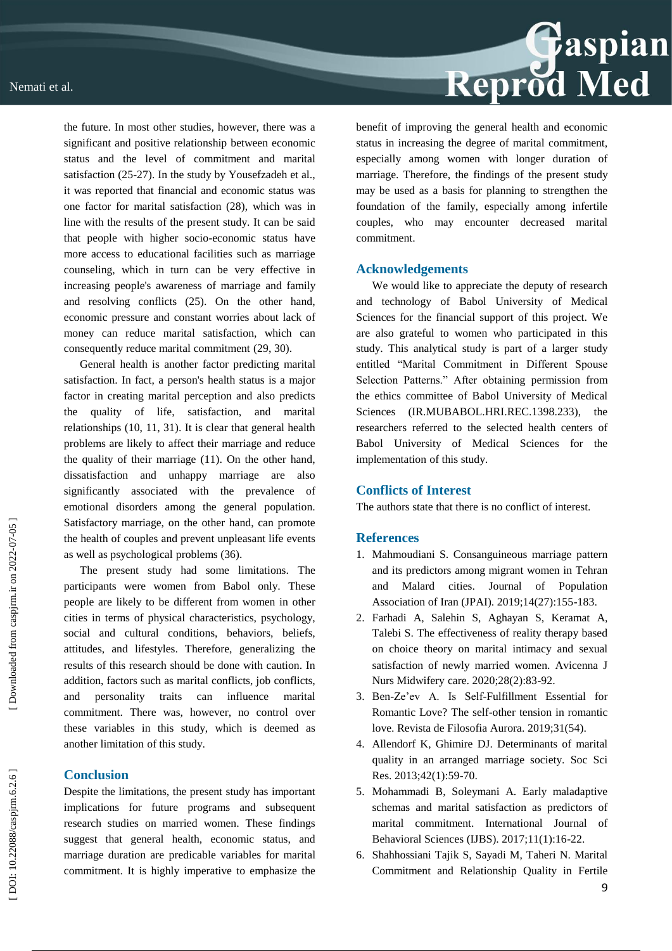

the future. In most other studies, however, there was a significant and positive relationship between economic status and the level of commitment and marital satisfaction (25 -27). In the study by Yousefzadeh et al., it was reported that financial and economic status was one factor for marital satisfaction (28), which was in line with the results of the present study. It can be said that people with higher socio -economic status have more access to educational facilities such as marriage counseling, which in turn can be very effective in increasing people's awareness of marriage and family and resolving conflicts (25). On the other hand, economic pressure and constant worries about lack of money can reduce marital satisfaction, which can consequently reduce marital commitment (29, 30).

General health is another factor predicting marital satisfaction. In fact, a person's health status is a major factor in creating marital perception and also predicts the quality of life, satisfaction, and marital relationships (10, 11, 31). It is clear that general health problems are likely to affect their marriage and reduce the quality of their marriage (11). On the other hand, dissatisfaction and unhappy marriage are also significantly associated with the prevalence of emotional disorders among the general population. Satisfactory marriage, on the other hand, can promote the health of couples and prevent unpleasant life events as well as psychological problems (36).

The present study had some limitations. The participants were women from Babol only. These people are likely to be different from women in other cities in terms of physical characteristics, psychology, social and cultural conditions, behaviors, beliefs, attitudes, and lifestyles. Therefore, generalizing the results of this research should be done with caution. In addition, factors such as marital conflicts, job conflicts, and personality traits can influence marital commitment. There was, however, no control over these variables in this study, which is deemed as another limitation of this study.

### **Conclusion**

Despite the limitations, the present study has important implications for future programs and subsequent research studies on married women. These findings suggest that general health, economic status, and marriage duration are predicable variables for marital commitment. It is highly imperative to emphasize the benefit of improving the general health and economic status in increasing the degree of marital commitment, especially among women with longer duration of marriage. Therefore, the findings of the present study may be used as a basis for planning to strengthen the foundation of the family, especially among infertile couples, who may encounter decreased marital commitment.

#### **Acknowledgements**

We would like to appreciate the deputy of research and technology of Babol University of Medical Sciences for the financial support of this project. We are also grateful to women who participated in this study. This analytical study is part of a larger study entitled "Marital Commitment in Different Spouse Selection Patterns." After obtaining permission from the ethics committee of Babol University of Medical Sciences (IR.MUBABOL.HRI.REC.1398.233), researchers referred to the selected health centers of Babol University of Medical Sciences for the implementation of this study.

#### **Conflicts of Interest**

The authors state that there is no conflict of interest.

#### **References**

- 1. Mahmoudiani S. Consanguineous marriage pattern and its predictors among migrant women in Tehran and Malard cities. Journal of Population Association of Iran (JPAI). 2019;14(27):155 - 183.
- 2. Farhadi A, Salehin S, Aghayan S, Keramat A, Talebi S. The effectiveness of reality therapy based on choice theory on marital intimacy and sexual satisfaction of newly married women. Avicenna J Nurs Midwifery care. 2020;28(2):83 -92.
- 3. Ben -Ze'ev A. Is Self-Fulfillment Essential for Romantic Love? The self-other tension in romantic love. Revista de Filosofia Aurora. 2019;31(54).
- 4. Allendorf K, Ghimire DJ. Determinants of marital quality in an arranged marriage society. Soc Sci Res. 2013;42(1):59 -70.
- 5. Mohammadi B, Soleymani A. Early maladaptive schemas and marital satisfaction as predictors of marital commitment. International Journal of Behavioral Sciences (IJBS). 2017;11(1):16 -22.
- 6. Shahhossiani Tajik S, Sayadi M, Taheri N. Marital Commitment and Relationship Quality in Fertile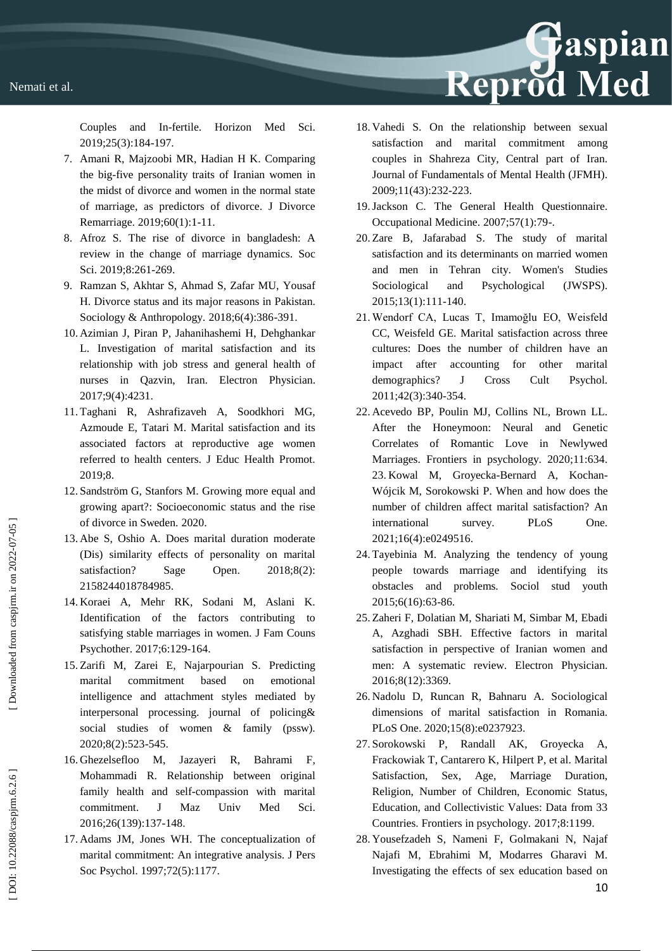Couples and In Horizon Med Sci. 2019;25(3):184 - 197.

- 7. Amani R, Majzoobi MR, Hadian H K. Comparing the big -five personality traits of Iranian women in the midst of divorce and women in the normal state of marriage, as predictors of divorce. J Divorce Remarriage. 2019;60(1):1 -11.
- 8. Afroz S. The rise of divorce in bangladesh: A review in the change of marriage dynamics. Soc Sci. 2019;8:261 -269.
- 9. Ramzan S, Akhtar S, Ahmad S, Zafar MU, Yousaf H. Divorce status and its major reasons in Pakistan. Sociology & Anthropology. 2018;6(4):386-391.
- 10. Azimian J, Piran P, Jahanihashemi H, Dehghankar L. Investigation of marital satisfaction and its relationship with job stress and general health of nurses in Qazvin, Iran. Electron Physician. 2017;9(4):4231.
- 11. Taghani R, Ashrafizaveh A, Soodkhori MG, Azmoude E, Tatari M. Marital satisfaction and its associated factors at reproductive age women referred to health centers. J Educ Health Promot. 2019;8.
- 12. Sandström G, Stanfors M. Growing more equal and growing apart?: Socioeconomic status and the rise of divorce in Sweden. 2020.
- 13. Abe S, Oshio A. Does marital duration moderate (Dis) similarity effects of personality on marital satisfaction? Sage Open. 2018;8(2): 2158244018784985.
- 14. Koraei A, Mehr RK, Sodani M, Aslani K. Identification of the factors contributing to satisfying stable marriages in women. J Fam Couns Psychother. 2017;6:129 - 164.
- 15. Zarifi M, Zarei E, Najarpourian S. Predicting marital commitment based on emotional intelligence and attachment styles mediated by interpersonal processing. journal of policing& social studies of women & family (pssw). 2020;8(2):523 - 545.
- 16. Ghezelsefloo M, Jazayeri R, Bahrami F, Mohammadi R. Relationship between original family health and self-compassion with marital commitment. J Maz Univ Med Sci. 2016;26(139):137 - 148.
- 17. Adams JM, Jones WH. The conceptualization of marital commitment: An integrative analysis. J Pers Soc Psychol. 1997;72(5):1177.

18. Vahedi S. On the relationship between sexual satisfaction and marital commitment among couples in Shahreza City, Central part of Iran. Journal of Fundamentals of Mental Health (JFMH). 2009;11(43):232 - 223.

Reprod Med

- 19.Jackson C. The General Health Questionnaire. Occupational Medicine. 2007;57(1):79 - .
- 20. Zare B, Jafarabad S. The study of marital satisfaction and its determinants on married women and men in Tehran city. Women's Studies Sociological and Psychological (JWSPS). 2015;13(1):111 - 140.
- 21. Wendorf CA, Lucas T, Imamoğlu EO, Weisfeld CC, Weisfeld GE. Marital satisfaction across three cultures: Does the number of children have an impact after accounting for other marital demographics? J Cross Cult Psychol. 2011;42(3):340 - 354.
- 22. Acevedo BP, Poulin MJ, Collins NL, Brown LL. After the Honeymoon: Neural and Genetic Correlates of Romantic Love in Newlywed Marriages. Frontiers in psychology. 2020;11:634. 23. Kowal M, Groyecka -Bernard A, Kochan - Wójcik M, Sorokowski P. When and how does the number of children affect marital satisfaction? An international survey. PLoS One. 2021;16(4):e0249516.
- 24. Tayebinia M. Analyzing the tendency of young people towards marriage and identifying its obstacles and problems. Sociol stud youth 2015;6(16):63 -86.
- 25. Zaheri F, Dolatian M, Shariati M, Simbar M, Ebadi A, Azghadi SBH. Effective factors in marital satisfaction in perspective of Iranian women and men: A systematic review. Electron Physician. 2016;8(12):3369.
- 26. Nadolu D, Runcan R, Bahnaru A. Sociological dimensions of marital satisfaction in Romania. PLoS One. 2020;15(8):e0237923.
- 27. Sorokowski P, Randall AK, Groyecka A, Frackowiak T, Cantarero K, Hilpert P, et al. Marital Satisfaction, Sex, Age, Marriage Duration, Religion, Number of Children, Economic Status, Education, and Collectivistic Values: Data from 33 Countries. Frontiers in psychology. 2017;8:1199.
- 28. Yousefzadeh S, Nameni F, Golmakani N, Najaf Najafi M, Ebrahimi M, Modarres Gharavi M. Investigating the effects of sex education based on

10